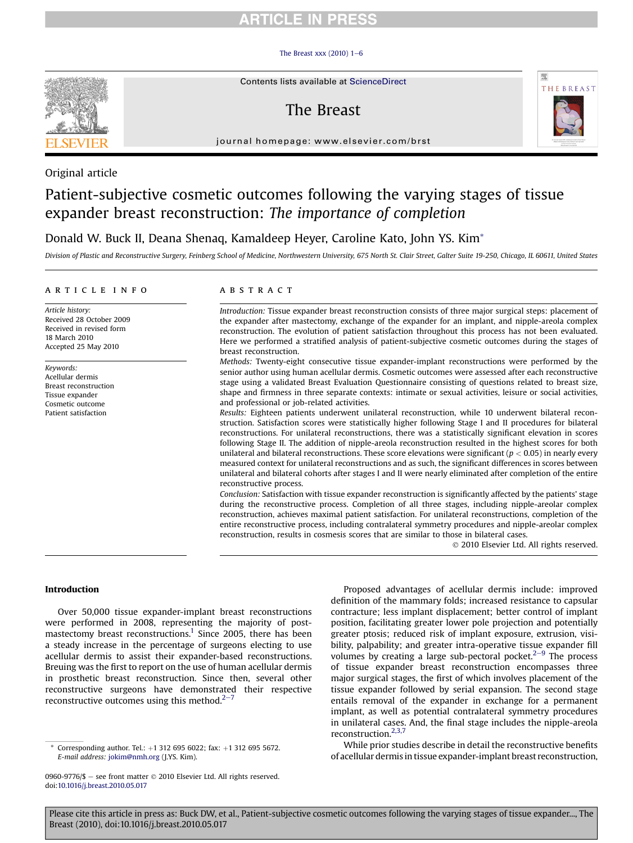# **RTICLE IN PRES**

#### The Breast xxx  $(2010)$  1-[6](http://dx.doi.org/10.1016/j.breast.2010.05.017)



Contents lists available at ScienceDirect

# The Breast



journal homepage: [www.elsevier.com/brst](http://www.elsevier.com/brst)

#### Original article

# Patient-subjective cosmetic outcomes following the varying stages of tissue expander breast reconstruction: The importance of completion

### Donald W. Buck II, Deana Shenaq, Kamaldeep Heyer, Caroline Kato, John YS. Kim\*

Division of Plastic and Reconstructive Surgery, Feinberg School of Medicine, Northwestern University, 675 North St. Clair Street, Galter Suite 19-250, Chicago, IL 60611, United States

#### article info

Article history: Received 28 October 2009 Received in revised form 18 March 2010 Accepted 25 May 2010

Keywords: Acellular dermis Breast reconstruction Tissue expander Cosmetic outcome Patient satisfaction

#### **ABSTRACT**

Introduction: Tissue expander breast reconstruction consists of three major surgical steps: placement of the expander after mastectomy, exchange of the expander for an implant, and nipple-areola complex reconstruction. The evolution of patient satisfaction throughout this process has not been evaluated. Here we performed a stratified analysis of patient-subjective cosmetic outcomes during the stages of breast reconstruction.

Methods: Twenty-eight consecutive tissue expander-implant reconstructions were performed by the senior author using human acellular dermis. Cosmetic outcomes were assessed after each reconstructive stage using a validated Breast Evaluation Questionnaire consisting of questions related to breast size, shape and firmness in three separate contexts: intimate or sexual activities, leisure or social activities, and professional or job-related activities.

Results: Eighteen patients underwent unilateral reconstruction, while 10 underwent bilateral reconstruction. Satisfaction scores were statistically higher following Stage I and II procedures for bilateral reconstructions. For unilateral reconstructions, there was a statistically significant elevation in scores following Stage II. The addition of nipple-areola reconstruction resulted in the highest scores for both unilateral and bilateral reconstructions. These score elevations were significant ( $p < 0.05$ ) in nearly every measured context for unilateral reconstructions and as such, the significant differences in scores between unilateral and bilateral cohorts after stages I and II were nearly eliminated after completion of the entire reconstructive process.

Conclusion: Satisfaction with tissue expander reconstruction is significantly affected by the patients' stage during the reconstructive process. Completion of all three stages, including nipple-areolar complex reconstruction, achieves maximal patient satisfaction. For unilateral reconstructions, completion of the entire reconstructive process, including contralateral symmetry procedures and nipple-areolar complex reconstruction, results in cosmesis scores that are similar to those in bilateral cases.

2010 Elsevier Ltd. All rights reserved.

#### Introduction

Over 50,000 tissue expander-implant breast reconstructions were performed in 2008, representing the majority of post-mastectomy breast reconstructions.<sup>[1](#page-5-0)</sup> Since 2005, there has been a steady increase in the percentage of surgeons electing to use acellular dermis to assist their expander-based reconstructions. Breuing was the first to report on the use of human acellular dermis in prosthetic breast reconstruction. Since then, several other reconstructive surgeons have demonstrated their respective reconstructive outcomes using this method. $2<sup>2</sup>$  $2<sup>2</sup>$ 

Proposed advantages of acellular dermis include: improved definition of the mammary folds; increased resistance to capsular contracture; less implant displacement; better control of implant position, facilitating greater lower pole projection and potentially greater ptosis; reduced risk of implant exposure, extrusion, visibility, palpability; and greater intra-operative tissue expander fill volumes by creating a large sub-pectoral pocket. $2-9$  $2-9$  $2-9$  The process of tissue expander breast reconstruction encompasses three major surgical stages, the first of which involves placement of the tissue expander followed by serial expansion. The second stage entails removal of the expander in exchange for a permanent implant, as well as potential contralateral symmetry procedures in unilateral cases. And, the final stage includes the nipple-areola reconstruction[.2,3,7](#page-5-0)

While prior studies describe in detail the reconstructive benefits of acellular dermis in tissue expander-implant breast reconstruction,

Corresponding author. Tel.:  $+1$  312 695 6022; fax:  $+1$  312 695 5672. E-mail address: [jokim@nmh.org](mailto:jokim@nmh.org) (J.YS. Kim).

<sup>0960-9776/\$ -</sup> see front matter © 2010 Elsevier Ltd. All rights reserved. doi[:10.1016/j.breast.2010.05.017](http://dx.doi.org/10.1016/j.breast.2010.05.017)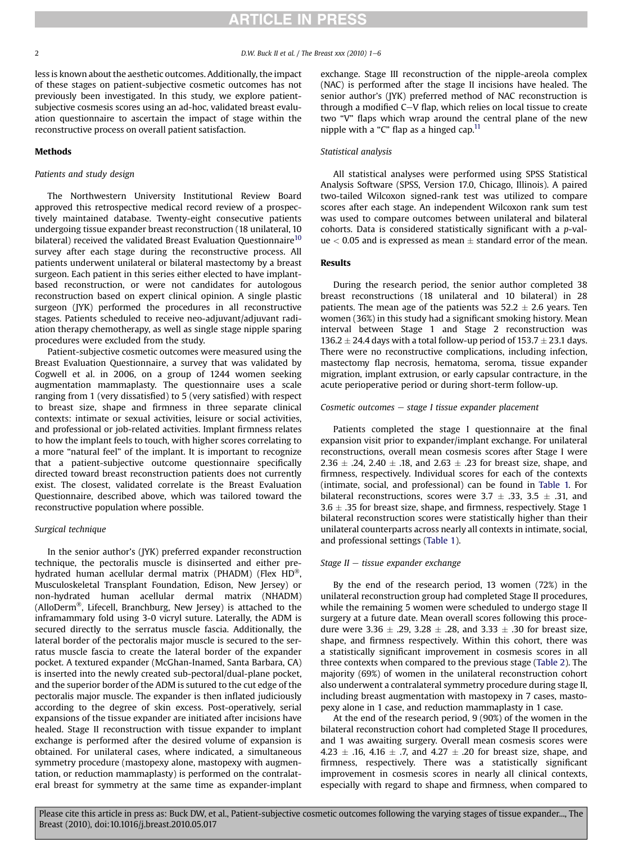less is known about the aesthetic outcomes. Additionally, the impact of these stages on patient-subjective cosmetic outcomes has not previously been investigated. In this study, we explore patientsubjective cosmesis scores using an ad-hoc, validated breast evaluation questionnaire to ascertain the impact of stage within the reconstructive process on overall patient satisfaction.

#### Methods

#### Patients and study design

The Northwestern University Institutional Review Board approved this retrospective medical record review of a prospectively maintained database. Twenty-eight consecutive patients undergoing tissue expander breast reconstruction (18 unilateral, 10 bilateral) received the validated Breast Evaluation Questionnaire<sup>[10](#page-5-0)</sup> survey after each stage during the reconstructive process. All patients underwent unilateral or bilateral mastectomy by a breast surgeon. Each patient in this series either elected to have implantbased reconstruction, or were not candidates for autologous reconstruction based on expert clinical opinion. A single plastic surgeon (JYK) performed the procedures in all reconstructive stages. Patients scheduled to receive neo-adjuvant/adjuvant radiation therapy chemotherapy, as well as single stage nipple sparing procedures were excluded from the study.

Patient-subjective cosmetic outcomes were measured using the Breast Evaluation Questionnaire, a survey that was validated by Cogwell et al. in 2006, on a group of 1244 women seeking augmentation mammaplasty. The questionnaire uses a scale ranging from 1 (very dissatisfied) to 5 (very satisfied) with respect to breast size, shape and firmness in three separate clinical contexts: intimate or sexual activities, leisure or social activities, and professional or job-related activities. Implant firmness relates to how the implant feels to touch, with higher scores correlating to a more "natural feel" of the implant. It is important to recognize that a patient-subjective outcome questionnaire specifically directed toward breast reconstruction patients does not currently exist. The closest, validated correlate is the Breast Evaluation Questionnaire, described above, which was tailored toward the reconstructive population where possible.

#### Surgical technique

In the senior author's (JYK) preferred expander reconstruction technique, the pectoralis muscle is disinserted and either prehydrated human acellular dermal matrix (PHADM) (Flex HD<sup>®</sup>, Musculoskeletal Transplant Foundation, Edison, New Jersey) or non-hydrated human acellular dermal matrix (NHADM) (AlloDerm®, Lifecell, Branchburg, New Jersey) is attached to the inframammary fold using 3-0 vicryl suture. Laterally, the ADM is secured directly to the serratus muscle fascia. Additionally, the lateral border of the pectoralis major muscle is secured to the serratus muscle fascia to create the lateral border of the expander pocket. A textured expander (McGhan-Inamed, Santa Barbara, CA) is inserted into the newly created sub-pectoral/dual-plane pocket, and the superior border of the ADM is sutured to the cut edge of the pectoralis major muscle. The expander is then inflated judiciously according to the degree of skin excess. Post-operatively, serial expansions of the tissue expander are initiated after incisions have healed. Stage II reconstruction with tissue expander to implant exchange is performed after the desired volume of expansion is obtained. For unilateral cases, where indicated, a simultaneous symmetry procedure (mastopexy alone, mastopexy with augmentation, or reduction mammaplasty) is performed on the contralateral breast for symmetry at the same time as expander-implant exchange. Stage III reconstruction of the nipple-areola complex (NAC) is performed after the stage II incisions have healed. The senior author's (JYK) preferred method of NAC reconstruction is through a modified  $C-V$  flap, which relies on local tissue to create two "V" flaps which wrap around the central plane of the new nipple with a "C" flap as a hinged cap.<sup>[11](#page-5-0)</sup>

#### Statistical analysis

All statistical analyses were performed using SPSS Statistical Analysis Software (SPSS, Version 17.0, Chicago, Illinois). A paired two-tailed Wilcoxon signed-rank test was utilized to compare scores after each stage. An independent Wilcoxon rank sum test was used to compare outcomes between unilateral and bilateral cohorts. Data is considered statistically significant with a p-value  $<$  0.05 and is expressed as mean  $\pm$  standard error of the mean.

#### Results

During the research period, the senior author completed 38 breast reconstructions (18 unilateral and 10 bilateral) in 28 patients. The mean age of the patients was  $52.2 \pm 2.6$  years. Ten women (36%) in this study had a significant smoking history. Mean interval between Stage 1 and Stage 2 reconstruction was 136.2  $\pm$  24.4 days with a total follow-up period of 153.7  $\pm$  23.1 days.<br>— There were no reconstructive complications, including infection, mastectomy flap necrosis, hematoma, seroma, tissue expander migration, implant extrusion, or early capsular contracture, in the acute perioperative period or during short-term follow-up.

#### Cosmetic outcomes  $-$  stage I tissue expander placement

Patients completed the stage I questionnaire at the final expansion visit prior to expander/implant exchange. For unilateral reconstructions, overall mean cosmesis scores after Stage I were  $2.36 \pm .24$ ,  $2.40 \pm .18$ , and  $2.63 \pm .23$  for breast size, shape, and firmness, respectively. Individual scores for each of the contexts (intimate, social, and professional) can be found in [Table 1.](#page-2-0) For bilateral reconstructions, scores were  $3.7 \pm .33, 3.5 \pm .31$ , and  $3.6 \pm .35$  for breast size, shape, and firmness, respectively. Stage 1 bilateral reconstruction scores were statistically higher than their unilateral counterparts across nearly all contexts in intimate, social, and professional settings ([Table 1\)](#page-2-0).

#### Stage  $II$  – tissue expander exchange

By the end of the research period, 13 women (72%) in the unilateral reconstruction group had completed Stage II procedures, while the remaining 5 women were scheduled to undergo stage II surgery at a future date. Mean overall scores following this procedure were  $3.36 \pm .29$ ,  $3.28 \pm .28$ , and  $3.33 \pm .30$  for breast size, shape, and firmness respectively. Within this cohort, there was a statistically significant improvement in cosmesis scores in all three contexts when compared to the previous stage [\(Table 2\)](#page-2-0). The majority (69%) of women in the unilateral reconstruction cohort also underwent a contralateral symmetry procedure during stage II, including breast augmentation with mastopexy in 7 cases, mastopexy alone in 1 case, and reduction mammaplasty in 1 case.

At the end of the research period, 9 (90%) of the women in the bilateral reconstruction cohort had completed Stage II procedures, and 1 was awaiting surgery. Overall mean cosmesis scores were  $4.23 \pm .16$ ,  $4.16 \pm .7$ , and  $4.27 \pm .20$  for breast size, shape, and firmness, respectively. There was a statistically significant improvement in cosmesis scores in nearly all clinical contexts, especially with regard to shape and firmness, when compared to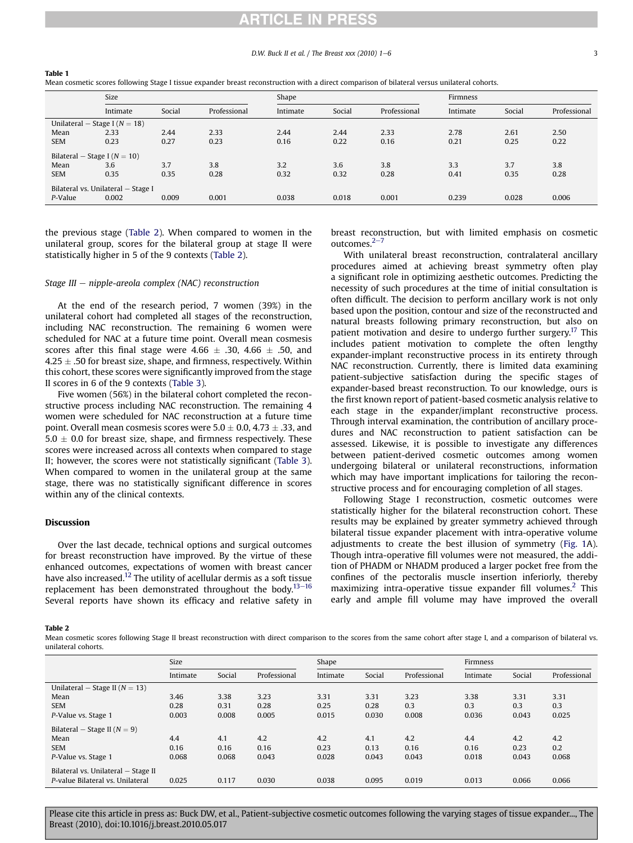# RTICLE IN PRES

#### D.W. Buck II et al. / The Breast xxx (2010)  $1-6$

|  |  | I |
|--|--|---|
|  |  |   |
|  |  |   |

Mean cosmetic scores following Stage I tissue expander breast reconstruction with a direct comparison of bilateral versus unilateral cohorts.

|                                    | Size     |        |              | Shape    |        |              | Firmness |        |              |
|------------------------------------|----------|--------|--------------|----------|--------|--------------|----------|--------|--------------|
|                                    | Intimate | Social | Professional | Intimate | Social | Professional | Intimate | Social | Professional |
| Unilateral – Stage I ( $N = 18$ )  |          |        |              |          |        |              |          |        |              |
| Mean                               | 2.33     | 2.44   | 2.33         | 2.44     | 2.44   | 2.33         | 2.78     | 2.61   | 2.50         |
| <b>SEM</b>                         | 0.23     | 0.27   | 0.23         | 0.16     | 0.22   | 0.16         | 0.21     | 0.25   | 0.22         |
| Bilateral – Stage I ( $N = 10$ )   |          |        |              |          |        |              |          |        |              |
| Mean                               | 3.6      | 3.7    | 3.8          | 3.2      | 3.6    | 3.8          | 3.3      | 3.7    | 3.8          |
| <b>SEM</b>                         | 0.35     | 0.35   | 0.28         | 0.32     | 0.32   | 0.28         | 0.41     | 0.35   | 0.28         |
| Bilateral vs. Unilateral - Stage I |          |        |              |          |        |              |          |        |              |
| P-Value                            | 0.002    | 0.009  | 0.001        | 0.038    | 0.018  | 0.001        | 0.239    | 0.028  | 0.006        |

the previous stage (Table 2). When compared to women in the unilateral group, scores for the bilateral group at stage II were statistically higher in 5 of the 9 contexts (Table 2).

#### Stage III  $-$  nipple-areola complex (NAC) reconstruction

At the end of the research period, 7 women (39%) in the unilateral cohort had completed all stages of the reconstruction, including NAC reconstruction. The remaining 6 women were scheduled for NAC at a future time point. Overall mean cosmesis scores after this final stage were  $4.66 \pm .30, 4.66 \pm .50,$  and  $4.25 \pm .50$  for breast size, shape, and firmness, respectively. Within this cohort, these scores were significantly improved from the stage II scores in 6 of the 9 contexts [\(Table 3](#page-3-0)).

Five women (56%) in the bilateral cohort completed the reconstructive process including NAC reconstruction. The remaining 4 women were scheduled for NAC reconstruction at a future time point. Overall mean cosmesis scores were 5.0  $\pm$  0.0, 4.73  $\pm$  .33, and  $5.0 \pm 0.0$  for breast size, shape, and firmness respectively. These scores were increased across all contexts when compared to stage II; however, the scores were not statistically significant [\(Table 3\)](#page-3-0). When compared to women in the unilateral group at the same stage, there was no statistically significant difference in scores within any of the clinical contexts.

#### Discussion

<span id="page-2-0"></span>Table 1

Over the last decade, technical options and surgical outcomes for breast reconstruction have improved. By the virtue of these enhanced outcomes, expectations of women with breast cancer have also increased.<sup>12</sup> The utility of acellular dermis as a soft tissue replacement has been demonstrated throughout the body.<sup>13–[16](#page-5-0)</sup> Several reports have shown its efficacy and relative safety in breast reconstruction, but with limited emphasis on cosmetic outcomes. $2-7$  $2-7$ 

With unilateral breast reconstruction, contralateral ancillary procedures aimed at achieving breast symmetry often play a significant role in optimizing aesthetic outcomes. Predicting the necessity of such procedures at the time of initial consultation is often difficult. The decision to perform ancillary work is not only based upon the position, contour and size of the reconstructed and natural breasts following primary reconstruction, but also on patient motivation and desire to undergo further surgery.<sup>17</sup> This includes patient motivation to complete the often lengthy expander-implant reconstructive process in its entirety through NAC reconstruction. Currently, there is limited data examining patient-subjective satisfaction during the specific stages of expander-based breast reconstruction. To our knowledge, ours is the first known report of patient-based cosmetic analysis relative to each stage in the expander/implant reconstructive process. Through interval examination, the contribution of ancillary procedures and NAC reconstruction to patient satisfaction can be assessed. Likewise, it is possible to investigate any differences between patient-derived cosmetic outcomes among women undergoing bilateral or unilateral reconstructions, information which may have important implications for tailoring the reconstructive process and for encouraging completion of all stages.

Following Stage I reconstruction, cosmetic outcomes were statistically higher for the bilateral reconstruction cohort. These results may be explained by greater symmetry achieved through bilateral tissue expander placement with intra-operative volume adjustments to create the best illusion of symmetry ([Fig. 1](#page-3-0)A). Though intra-operative fill volumes were not measured, the addition of PHADM or NHADM produced a larger pocket free from the confines of the pectoralis muscle insertion inferiorly, thereby maximizing intra-operative tissue expander fill volumes.<sup>2</sup> This early and ample fill volume may have improved the overall

#### Table 2

Mean cosmetic scores following Stage II breast reconstruction with direct comparison to the scores from the same cohort after stage I, and a comparison of bilateral vs. unilateral cohorts.

|                                     | <b>Size</b> |        |              | Shape    |        |              | Firmness |        |              |
|-------------------------------------|-------------|--------|--------------|----------|--------|--------------|----------|--------|--------------|
|                                     | Intimate    | Social | Professional | Intimate | Social | Professional | Intimate | Social | Professional |
| Unilateral – Stage II ( $N = 13$ )  |             |        |              |          |        |              |          |        |              |
| Mean                                | 3.46        | 3.38   | 3.23         | 3.31     | 3.31   | 3.23         | 3.38     | 3.31   | 3.31         |
| <b>SEM</b>                          | 0.28        | 0.31   | 0.28         | 0.25     | 0.28   | 0.3          | 0.3      | 0.3    | 0.3          |
| P-Value vs. Stage 1                 | 0.003       | 0.008  | 0.005        | 0.015    | 0.030  | 0.008        | 0.036    | 0.043  | 0.025        |
| Bilateral – Stage II ( $N = 9$ )    |             |        |              |          |        |              |          |        |              |
| Mean                                | 4.4         | 4.1    | 4.2          | 4.2      | 4.1    | 4.2          | 4.4      | 4.2    | 4.2          |
| <b>SEM</b>                          | 0.16        | 0.16   | 0.16         | 0.23     | 0.13   | 0.16         | 0.16     | 0.23   | 0.2          |
| P-Value vs. Stage 1                 | 0.068       | 0.068  | 0.043        | 0.028    | 0.043  | 0.043        | 0.018    | 0.043  | 0.068        |
| Bilateral vs. Unilateral – Stage II |             |        |              |          |        |              |          |        |              |
| P-value Bilateral vs. Unilateral    | 0.025       | 0.117  | 0.030        | 0.038    | 0.095  | 0.019        | 0.013    | 0.066  | 0.066        |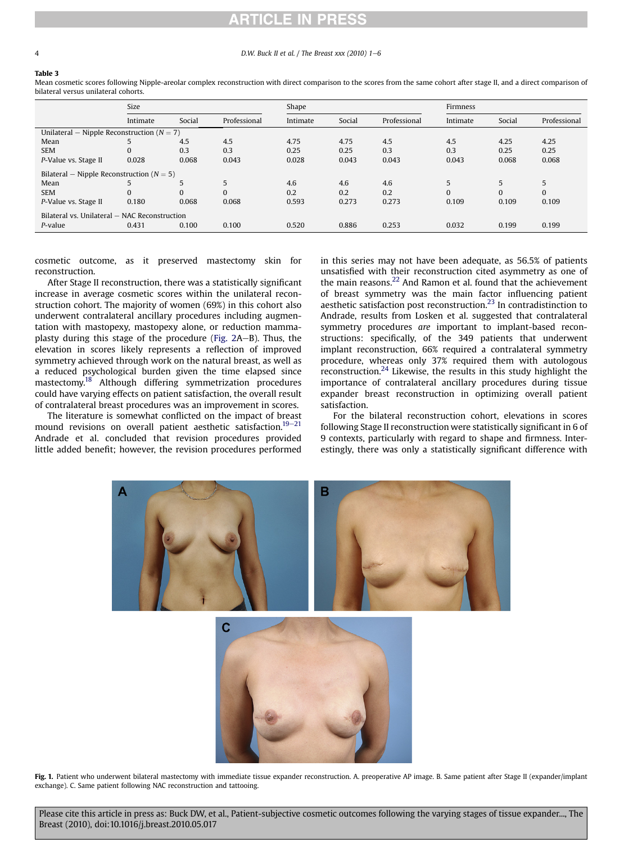# RTICLE IN PRES

#### <span id="page-3-0"></span>4 D.W. Buck II et al. / The Breast  $xxx(2010)$  1–6

#### Table 3

Mean cosmetic scores following Nipple-areolar complex reconstruction with direct comparison to the scores from the same cohort after stage II, and a direct comparison of bilateral versus unilateral cohorts.

|                                                | Size     |          |              | Shape    |        |              | Firmness |          |              |
|------------------------------------------------|----------|----------|--------------|----------|--------|--------------|----------|----------|--------------|
|                                                | Intimate | Social   | Professional | Intimate | Social | Professional | Intimate | Social   | Professional |
| Unilateral – Nipple Reconstruction ( $N = 7$ ) |          |          |              |          |        |              |          |          |              |
| Mean                                           |          | 4.5      | 4.5          | 4.75     | 4.75   | 4.5          | 4.5      | 4.25     | 4.25         |
| <b>SEM</b>                                     | $\Omega$ | 0.3      | 0.3          | 0.25     | 0.25   | 0.3          | 0.3      | 0.25     | 0.25         |
| P-Value vs. Stage II                           | 0.028    | 0.068    | 0.043        | 0.028    | 0.043  | 0.043        | 0.043    | 0.068    | 0.068        |
| Bilateral – Nipple Reconstruction ( $N = 5$ )  |          |          |              |          |        |              |          |          |              |
| Mean                                           |          |          | 5            | 4.6      | 4.6    | 4.6          | 5        |          | 5            |
| <b>SEM</b>                                     | $\Omega$ | $\Omega$ | $\Omega$     | 0.2      | 0.2    | 0.2          | $\Omega$ | $\Omega$ | $\Omega$     |
| P-Value vs. Stage II                           | 0.180    | 0.068    | 0.068        | 0.593    | 0.273  | 0.273        | 0.109    | 0.109    | 0.109        |
| Bilateral vs. Unilateral - NAC Reconstruction  |          |          |              |          |        |              |          |          |              |
| $P$ -value                                     | 0.431    | 0.100    | 0.100        | 0.520    | 0.886  | 0.253        | 0.032    | 0.199    | 0.199        |

cosmetic outcome, as it preserved mastectomy skin for reconstruction.

After Stage II reconstruction, there was a statistically significant increase in average cosmetic scores within the unilateral reconstruction cohort. The majority of women (69%) in this cohort also underwent contralateral ancillary procedures including augmentation with mastopexy, mastopexy alone, or reduction mamma-plasty during this stage of the procedure [\(Fig. 2A](#page-4-0)-B). Thus, the elevation in scores likely represents a reflection of improved symmetry achieved through work on the natural breast, as well as a reduced psychological burden given the time elapsed since mastectomy[.18](#page-5-0) Although differing symmetrization procedures could have varying effects on patient satisfaction, the overall result of contralateral breast procedures was an improvement in scores.

The literature is somewhat conflicted on the impact of breast mound revisions on overall patient aesthetic satisfaction.<sup>19-[21](#page-5-0)</sup> Andrade et al. concluded that revision procedures provided little added benefit; however, the revision procedures performed in this series may not have been adequate, as 56.5% of patients unsatisfied with their reconstruction cited asymmetry as one of the main reasons. $22$  And Ramon et al. found that the achievement of breast symmetry was the main factor influencing patient aesthetic satisfaction post reconstruction.<sup>[23](#page-5-0)</sup> In contradistinction to Andrade, results from Losken et al. suggested that contralateral symmetry procedures are important to implant-based reconstructions: specifically, of the 349 patients that underwent implant reconstruction, 66% required a contralateral symmetry procedure, whereas only 37% required them with autologous reconstruction.[24](#page-5-0) Likewise, the results in this study highlight the importance of contralateral ancillary procedures during tissue expander breast reconstruction in optimizing overall patient satisfaction.

For the bilateral reconstruction cohort, elevations in scores following Stage II reconstruction were statistically significant in 6 of 9 contexts, particularly with regard to shape and firmness. Interestingly, there was only a statistically significant difference with



Fig. 1. Patient who underwent bilateral mastectomy with immediate tissue expander reconstruction. A. preoperative AP image. B. Same patient after Stage II (expander/implant exchange). C. Same patient following NAC reconstruction and tattooing.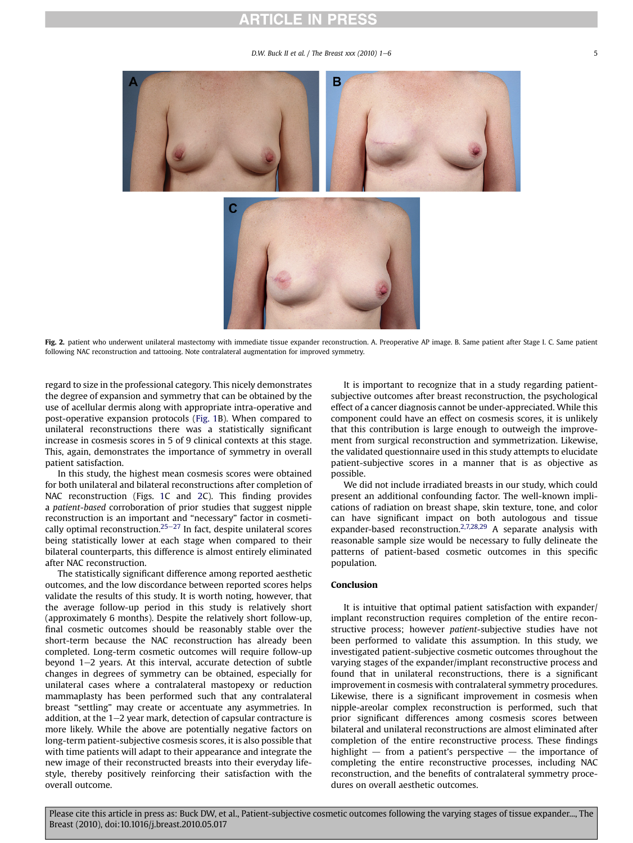# **RTICLE IN PRESS**

 $D.W.$  Buck II et al. / The Breast xxx (2010) 1–6  $5\%$ 

<span id="page-4-0"></span>

Fig. 2. patient who underwent unilateral mastectomy with immediate tissue expander reconstruction. A. Preoperative AP image. B. Same patient after Stage I. C. Same patient following NAC reconstruction and tattooing. Note contralateral augmentation for improved symmetry.

regard to size in the professional category. This nicely demonstrates the degree of expansion and symmetry that can be obtained by the use of acellular dermis along with appropriate intra-operative and post-operative expansion protocols [\(Fig. 1B](#page-3-0)). When compared to unilateral reconstructions there was a statistically significant increase in cosmesis scores in 5 of 9 clinical contexts at this stage. This, again, demonstrates the importance of symmetry in overall patient satisfaction.

In this study, the highest mean cosmesis scores were obtained for both unilateral and bilateral reconstructions after completion of NAC reconstruction (Figs. [1](#page-3-0)C and 2C). This finding provides a patient-based corroboration of prior studies that suggest nipple reconstruction is an important and "necessary" factor in cosmeti-cally optimal reconstruction.<sup>[25](#page-5-0)-[27](#page-5-0)</sup> In fact, despite unilateral scores being statistically lower at each stage when compared to their bilateral counterparts, this difference is almost entirely eliminated after NAC reconstruction.

The statistically significant difference among reported aesthetic outcomes, and the low discordance between reported scores helps validate the results of this study. It is worth noting, however, that the average follow-up period in this study is relatively short (approximately 6 months). Despite the relatively short follow-up, final cosmetic outcomes should be reasonably stable over the short-term because the NAC reconstruction has already been completed. Long-term cosmetic outcomes will require follow-up beyond  $1-2$  years. At this interval, accurate detection of subtle changes in degrees of symmetry can be obtained, especially for unilateral cases where a contralateral mastopexy or reduction mammaplasty has been performed such that any contralateral breast "settling" may create or accentuate any asymmetries. In addition, at the  $1-2$  year mark, detection of capsular contracture is more likely. While the above are potentially negative factors on long-term patient-subjective cosmesis scores, it is also possible that with time patients will adapt to their appearance and integrate the new image of their reconstructed breasts into their everyday lifestyle, thereby positively reinforcing their satisfaction with the overall outcome.

It is important to recognize that in a study regarding patientsubjective outcomes after breast reconstruction, the psychological effect of a cancer diagnosis cannot be under-appreciated. While this component could have an effect on cosmesis scores, it is unlikely that this contribution is large enough to outweigh the improvement from surgical reconstruction and symmetrization. Likewise, the validated questionnaire used in this study attempts to elucidate patient-subjective scores in a manner that is as objective as possible.

We did not include irradiated breasts in our study, which could present an additional confounding factor. The well-known implications of radiation on breast shape, skin texture, tone, and color can have significant impact on both autologous and tissue expander-based reconstruction.<sup>[2,7,28,29](#page-5-0)</sup> A separate analysis with reasonable sample size would be necessary to fully delineate the patterns of patient-based cosmetic outcomes in this specific population.

#### Conclusion

It is intuitive that optimal patient satisfaction with expander/ implant reconstruction requires completion of the entire reconstructive process; however patient-subjective studies have not been performed to validate this assumption. In this study, we investigated patient-subjective cosmetic outcomes throughout the varying stages of the expander/implant reconstructive process and found that in unilateral reconstructions, there is a significant improvement in cosmesis with contralateral symmetry procedures. Likewise, there is a significant improvement in cosmesis when nipple-areolar complex reconstruction is performed, such that prior significant differences among cosmesis scores between bilateral and unilateral reconstructions are almost eliminated after completion of the entire reconstructive process. These findings highlight  $-$  from a patient's perspective  $-$  the importance of completing the entire reconstructive processes, including NAC reconstruction, and the benefits of contralateral symmetry procedures on overall aesthetic outcomes.